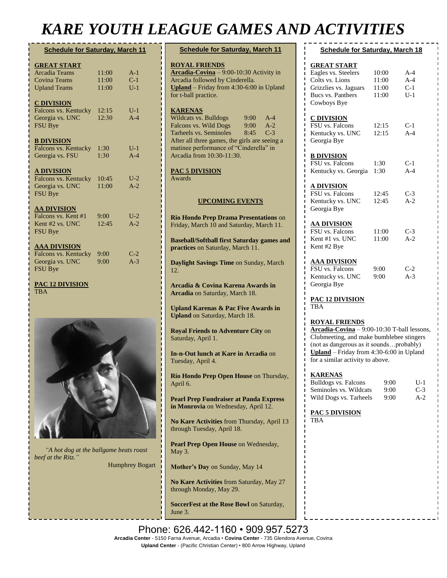## *KARE YOUTH LEAGUE GAMES AND ACTIVITIES*

 $f_{\rm O}$ 

 $\overline{M}$ 

June 3.

| <b>Schedule for Saturday, March 11</b> |       |       |
|----------------------------------------|-------|-------|
| <b>GREAT START</b>                     |       |       |
| <b>Arcadia Teams</b>                   | 11:00 | $A-1$ |
| Covina Teams                           | 11:00 | $C-1$ |
| <b>Upland Teams</b>                    | 11:00 | $U-1$ |
| <b>C DIVISION</b>                      |       |       |
| Falcons vs. Kentucky                   | 12:15 | $U-1$ |
| Georgia vs. UNC                        | 12:30 | $A-4$ |
| <b>FSU Bye</b>                         |       |       |
| <b>B DIVISION</b>                      |       |       |
| Falcons vs. Kentucky                   | 1:30  | $U-1$ |
| Georgia vs. FSU                        | 1:30  | $A-4$ |
| <b>A DIVISION</b>                      |       |       |
| Falcons vs. Kentucky                   | 10:45 | $U-2$ |
| Georgia vs. UNC                        | 11:00 | $A-2$ |
| <b>FSU Bye</b>                         |       |       |
| <u>AA DIVISION</u>                     |       |       |
| Falcons vs. Kent #1                    | 9:00  | $U-2$ |
| Kent #2 vs. UNC                        | 12:45 | $A-2$ |
| <b>FSU Bye</b>                         |       |       |
| AAA DIVISION                           |       |       |
| Falcons vs. Kentucky                   | 9:00  | $C-2$ |
| Georgia vs. UNC                        | 9:00  | $A-3$ |
| <b>FSU Bye</b>                         |       |       |
| <b>PAC 12 DIVISION</b>                 |       |       |

TBA



*"A hot dog at the ballgame beats roast beef at the Ritz."* 

Humphrey Bogart

| <b>Schedule for Saturday, March 11</b>                                                                                                                                                                                                                                      |  |  |
|-----------------------------------------------------------------------------------------------------------------------------------------------------------------------------------------------------------------------------------------------------------------------------|--|--|
| <b>ROYAL FRIENDS</b><br>Arcadia-Covina - 9:00-10:30 Activity in<br>Arcadia followed by Cinderella.<br>Upland - Friday from 4:30-6:00 in Upland<br>for t-ball practice.                                                                                                      |  |  |
| <b>KARENAS</b><br>Wildcats vs. Bulldogs<br>$9:00^{-}$<br>$A-4$<br>Falcons vs. Wild Dogs<br>$A-2$<br>9:00<br>Tarheels vs. Seminoles<br>$C-3$<br>8:45<br>After all three games, the girls are seeing a<br>matinee performance of "Cinderella" in<br>Arcadia from 10:30-11:30. |  |  |
| <b>PAC 5 DIVISION</b><br>Awards                                                                                                                                                                                                                                             |  |  |
| <b>UPCOMING EVENTS</b>                                                                                                                                                                                                                                                      |  |  |
| <b>Rio Hondo Prep Drama Presentations on</b><br>Friday, March 10 and Saturday, March 11.                                                                                                                                                                                    |  |  |
| <b>Baseball/Softball first Saturday games and</b><br>practices on Saturday, March 11.                                                                                                                                                                                       |  |  |
| Daylight Savings Time on Sunday, March<br>12.                                                                                                                                                                                                                               |  |  |
| Arcadia & Covina Karena Awards in<br>Arcadia on Saturday, March 18.                                                                                                                                                                                                         |  |  |
| <b>Upland Karenas &amp; Pac Five Awards in</b><br><b>Upland</b> on Saturday, March 18.                                                                                                                                                                                      |  |  |
| <b>Royal Friends to Adventure City on</b><br>Saturday, April 1.                                                                                                                                                                                                             |  |  |
| In-n-Out lunch at Kare in Arcadia on<br>Tuesday, April 4.                                                                                                                                                                                                                   |  |  |
| Rio Hondo Prep Open House on Thursday,<br>April 6.                                                                                                                                                                                                                          |  |  |
| <b>Pearl Prep Fundraiser at Panda Express</b><br>in Monrovia on Wednesday, April 12.                                                                                                                                                                                        |  |  |
| No Kare Activities from Thursday, April 13<br>through Tuesday, April 18.                                                                                                                                                                                                    |  |  |
| Pearl Prep Open House on Wednesday,<br>May 3.                                                                                                                                                                                                                               |  |  |
| Mother's Day on Sunday, May 14                                                                                                                                                                                                                                              |  |  |
| No Kare Activities from Saturday, May 27                                                                                                                                                                                                                                    |  |  |

Eagles vs. Steelers 10:00 A-4 Colts vs. Lions 11:00 A-4 Grizzlies vs. Jaguars 11:00 C-1 Bucs vs. Panthers 11:00 U-1 Cowboys Bye **C DIVISION** FSU vs. Falcons 12:15 C-1 Kentucky vs. UNC 12:15 A-4 Georgia Bye **B DIVISION** FSU vs. Falcons 1:30 C-1 Kentucky vs. Georgia 1:30 A-4 **A DIVISION** FSU vs. Falcons 12:45 C-3<br>
Kentucky vs. UNC 12:45 A-2 Kentucky vs. UNC Georgia Bye **AA DIVISION** FSU vs. Falcons 11:00 C-3 Kent #1 vs. UNC 11:00 A-2 Kent #2 Bye **AAA DIVISION** FSU vs. Falcons 9:00 C-2 Kentucky vs. UNC 9:00 A-3 Georgia Bye **PAC 12 DIVISION** TBA **ROYAL FRIENDS Arcadia-Covina** – 9:00-10:30 T-ball lessons, Clubmeeting, and make bumblebee stingers (not as dangerous as it sounds…probably) **Upland** – Friday from 4:30-6:00 in Upland for a similar activity to above. **KARENAS** Bulldogs vs. Falcons 9:00 U-1<br>Seminoles vs. Wildcats 9:00 C-3 Seminoles vs. Wildcats 9:00 Wild Dogs vs. Tarheels 9:00 A-2 **PAC 5 DIVISION** TBA

**Schedule for Saturday, March 18**

**GREAT START**

Phone: 626.442-1160 · 909.957.5273 Arcadia Center - 5150 Farna Avenue, Arcadia • Covina Center - 735 Glendora Avenue, Covina **Upland Center** - (Pacific Christian Center) • 800 Arrow Highway, Upland

**SoccerFest at the Rose Bowl** on Saturday,

through Monday, May 29.